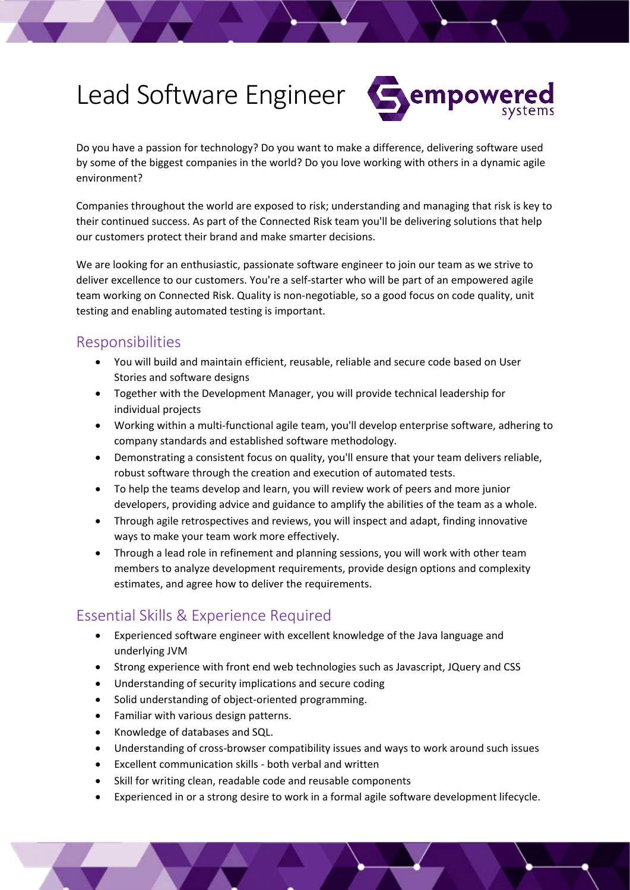# Lead Software Engineer



Do you have a passion for technology? Do you want to make a difference, delivering software used by some of the biggest companies in the world? Do you love working with others in a dynamic agile environment?

Companies throughout the world are exposed to risk; understanding and managing that risk is key to their continued success. As part of the Connected Risk team you'll be delivering solutions that help our customers protect their brand and make smarter decisions.

We are looking for an enthusiastic, passionate software engineer to join our team as we strive to deliver excellence to our customers. You're a self-starter who will be part of an empowered agile team working on Connected Risk. Quality is non-negotiable, so a good focus on code quality, unit testing and enabling automated testing is important.

## Responsibilities

- You will build and maintain efficient, reusable, reliable and secure code based on User Stories and software designs
- Together with the Development Manager, you will provide technical leadership for individual projects
- Working within a multi-functional agile team, you'll develop enterprise software, adhering to company standards and established software methodology.
- Demonstrating a consistent focus on quality, you'll ensure that your team delivers reliable, robust software through the creation and execution of automated tests.
- To help the teams develop and learn, you will review work of peers and more junior developers, providing advice and guidance to amplify the abilities of the team as a whole.
- Through agile retrospectives and reviews, you will inspect and adapt, finding innovative ways to make your team work more effectively.
- Through a lead role in refinement and planning sessions, you will work with other team members to analyze development requirements, provide design options and complexity estimates, and agree how to deliver the requirements.

## Essential Skills & Experience Required

- Experienced software engineer with excellent knowledge of the Java language and underlying JVM
- Strong experience with front end web technologies such as Javascript, JQuery and CSS
- Understanding of security implications and secure coding
- Solid understanding of object-oriented programming.
- Familiar with various design patterns.
- Knowledge of databases and SQL.
- Understanding of cross-browser compatibility issues and ways to work around such issues
- Excellent communication skills both verbal and written
- Skill for writing clean, readable code and reusable components
- Experienced in or a strong desire to work in a formal agile software development lifecycle.